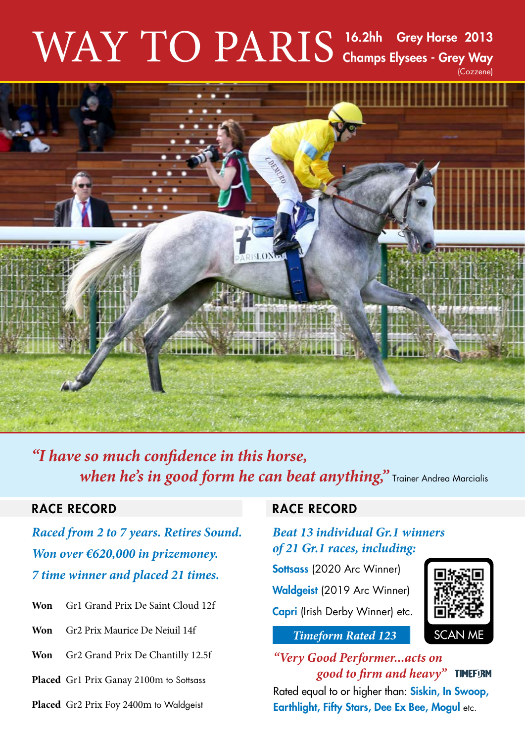## $\text{WAY TO PARIS}$   $\text{^{16.2hh}}$  Grey Horse 2013 Champs Elysees - Grey Way (Cozzene)



*"I have so much confidence in this horse, when he's in good form he can beat anything*," Trainer Andrea Marcialis

*Raced from 2 to 7 years. Retires Sound. Won over €620,000 in prizemoney. 7 time winner and placed 21 times.*

- **Won** Gr1 Grand Prix De Saint Cloud 12f
- **Won** Gr2 Prix Maurice De Neiuil 14f
- **Won** Gr2 Grand Prix De Chantilly 12.5f
- Placed Gr1 Prix Ganay 2100m to Sottsass
- **Placed** Gr2 Prix Foy 2400m to Waldgeist

### RACE RECORD **RACE RECORD**

### *Beat 13 individual Gr.1 winners of 21 Gr.1 races, including:*

Sottsass (2020 Arc Winner)

Waldgeist (2019 Arc Winner)

Capri (Irish Derby Winner) etc.



#### *Timeform Rated 123*

*"Very Good Performer...acts on good to firm and heavy"*  Rated equal to or higher than: Siskin, In Swoop, Earthlight, Fifty Stars, Dee Ex Bee, Mogul etc.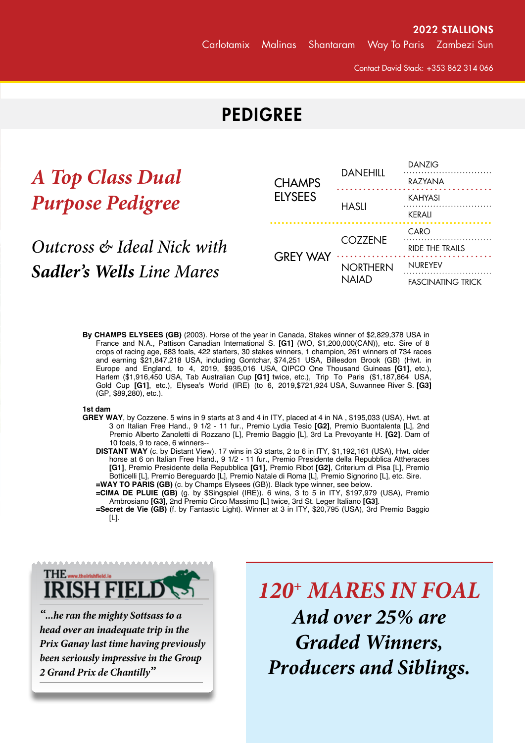Contact David Stack: +353 862 314 066

## **PEDIGREE**

# *A Top Class Dual Purpose Pedigree*

### Champs Elysees (GB), **Outcross & Ideal Nick with** *Sadler's Wells Line Mares*

|    | <b>CHAMPS</b><br><b>ELYSEES</b> | <b>DANEHILL</b>                 | <b>DANZIG</b>            |
|----|---------------------------------|---------------------------------|--------------------------|
|    |                                 |                                 | RAZYANA                  |
|    |                                 | <b>HASLI</b>                    | KAHYASI                  |
|    |                                 |                                 | <b>KERALI</b>            |
| th | <b>GREY WAY</b>                 | <b>COZZENE</b>                  | CARO                     |
|    |                                 |                                 | <b>RIDE THE TRAILS</b>   |
| 'S |                                 | <b>NORTHERN</b><br><b>NAIAD</b> | <b>NUREYEV</b>           |
|    |                                 |                                 | <b>FASCINATING TRICK</b> |

**By CHAMPS ELYSEES (GB)** (2003). Horse of the year in Canada, Stakes winner of \$2,829,378 USA in France and N.A., Pattison Canadian International S. **[G1]** (WO, \$1,200,000(CAN)), etc. Sire of 8 crops of racing age, 683 foals, 422 starters, 30 stakes winners, 1 champion, 261 winners of 734 races and earning \$21,847,218 USA, including Gontchar, \$74,251 USA, Billesdon Brook (GB) (Hwt. in Europe and England, to 4, 2019, \$935,016 USA, QIPCO One Thousand Guineas **[G1]**, etc.), Harlem (\$1,916,450 USA, Tab Australian Cup **[G1]** twice, etc.), Trip To Paris (\$1,187,864 USA, Gold Cup **[G1]**, etc.), Elysea's World (IRE) (to 6, 2019,\$721,924 USA, Suwannee River S. **[G3]** (GP, \$89,280), etc.).

#### **1st dam**

- **GREY WAY**, by Cozzene. 5 wins in 9 starts at 3 and 4 in ITY, placed at 4 in NA , \$195,033 (USA), Hwt. at 3 on Italian Free Hand., 9 1/2 - 11 fur., Premio Lydia Tesio **[G2]**, Premio Buontalenta [L], 2nd Premio Alberto Zanoletti di Rozzano [L], Premio Baggio [L], 3rd La Prevoyante H. **[G2]**. Dam of 10 foals, 9 to race, 6 winners--
	- **DISTANT WAY** (c. by Distant View). 17 wins in 33 starts, 2 to 6 in ITY, \$1,192,161 (USA), Hwt. older horse at 6 on Italian Free Hand., 9 1/2 - 11 fur., Premio Presidente della Repubblica Attheraces **[G1]**, Premio Presidente della Repubblica **[G1]**, Premio Ribot **[G2]**, Criterium di Pisa [L], Premio Botticelli [L], Premio Bereguardo [L], Premio Natale di Roma [L], Premio Signorino [L], etc. Sire. **=WAY TO PARIS (GB)** (c. by Champs Elysees (GB)). Black type winner, see below.

**=CIMA DE PLUIE (GB)** (g. by \$Singspiel (IRE)). 6 wins, 3 to 5 in ITY, \$197,979 (USA), Premio Ambrosiano **[G3]**, 2nd Premio Circo Massimo [L] twice, 3rd St. Leger Italiano **[G3]**.

**=Secret de Vie (GB)** (f. by Fantastic Light). Winner at 3 in ITY, \$20,795 (USA), 3rd Premio Baggio [L].

FASCINATING TRICK, by Buckpasser. Unplaced in 2 starts in FR . Sister to **NUMBERED ACCOUNT** (\$607,048, Champion 2-year-old filly in U.S., Gardenia S., etc.), **CUNNING TRICK** (\$145,120, Arlington H.**-G2**, etc.), **HOW CURIOUS** (\$102,375, Orange County H., etc., sire). Dam of 7



**GREY WAY** (f. by Cozzene). Black type winner, see above.  $\cdot$  ...he ran the mighty Sottsass to a  $A$ **).**  $inad$ *equate trip in the*  $\Box$ head over an inadequate trip in the **comparison of the set of the IS** Prix Ganay last time having previously **Common Contract Contract Contract Contract Contract Contract Contract Co**  $\frac{1}{1-\epsilon}$  (c. by  $\frac{1}{2-\epsilon}$ ). Winner at 2 and 5 in ITY. been seriously impressive in the Group **in France, 7 in France, 7 in France, 7 in France, 7 in France, 7 in France** Starry Path (c. by Bahri). Placed in 1 start at 3 in ITY, \$4,836 (USA). **3rd dam** *2 Grand Prix de Chantilly"*

**HELDS 120+ MARES IN FOAL** *And over 25% are Graded Winners, Producers and Siblings.*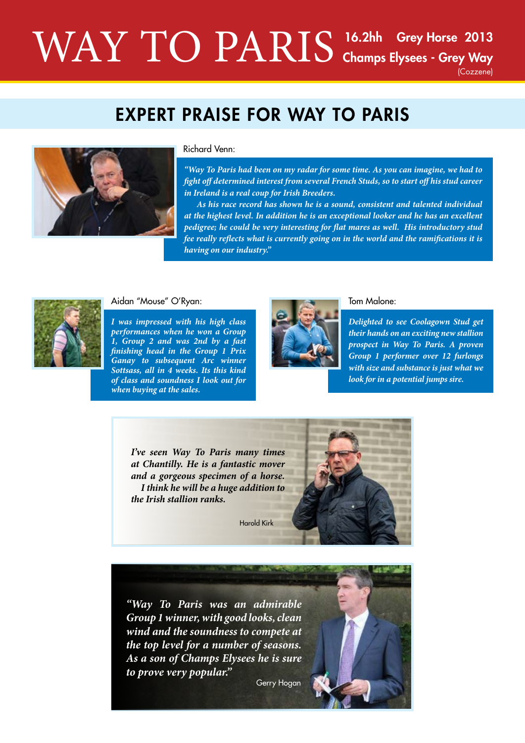## $\text{WAY TO PARIS}$   $\text{^{16.2hh}}$  Grey Horse 2013 Champs Elysees - Grey Way (Cozzene)

## EXPERT PRAISE FOR WAY TO PARIS



#### Richard Venn:

*"Way To Paris had been on my radar for some time. As you can imagine, we had to fight off determined interest from several French Studs, so to start off his stud career in Ireland is a real coup for Irish Breeders.* 

 *As his race record has shown he is a sound, consistent and talented individual at the highest level. In addition he is an exceptional looker and he has an excellent pedigree; he could be very interesting for flat mares as well. His introductory stud fee really reflects what is currently going on in the world and the ramifications it is having on our industry."*



#### Aidan "Mouse" O'Ryan:

*I was impressed with his high class performances when he won a Group 1, Group 2 and was 2nd by a fast finishing head in the Group 1 Prix Ganay to subsequent Arc winner Sottsass, all in 4 weeks. Its this kind of class and soundness I look out for when buying at the sales.*



#### Tom Malone:

*Delighted to see Coolagown Stud get their hands on an exciting new stallion prospect in Way To Paris. A proven Group 1 performer over 12 furlongs with size and substance is just what we look for in a potential jumps sire.*

*I've seen Way To Paris many times at Chantilly. He is a fantastic mover and a gorgeous specimen of a horse. I think he will be a huge addition to the Irish stallion ranks.*

Harold Kirk



*"Way To Paris was an admirable Group 1 winner, with good looks, clean wind and the soundness to compete at the top level for a number of seasons. As a son of Champs Elysees he is sure to prove very popular."*

Gerry Hogan